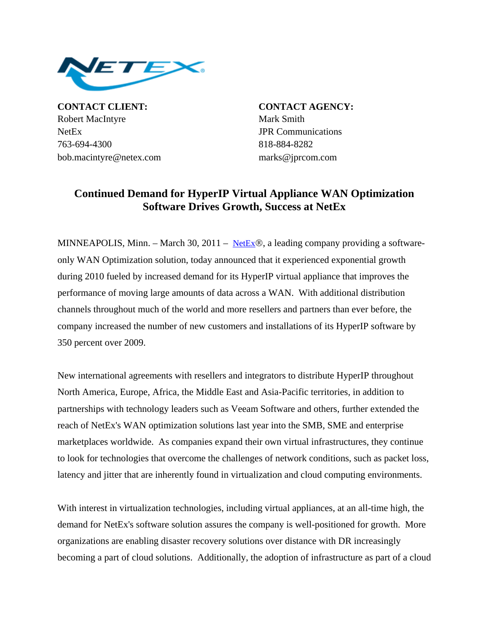

**CONTACT CLIENT: CONTACT AGENCY:** Robert MacIntyre Mark Smith NetEx JPR Communications 763-694-4300 818-884-8282 bob.macintyre@netex.com marks@jprcom.com

## **Continued Demand for HyperIP Virtual Appliance WAN Optimization Software Drives Growth, Success at NetEx**

MINNEAPOLIS, Minn. – March 30, 2011 – [NetEx](http://www.netex.com/)®, a leading company providing a softwareonly WAN Optimization solution, today announced that it experienced exponential growth during 2010 fueled by increased demand for its HyperIP virtual appliance that improves the performance of moving large amounts of data across a WAN. With additional distribution channels throughout much of the world and more resellers and partners than ever before, the company increased the number of new customers and installations of its HyperIP software by 350 percent over 2009.

New international agreements with resellers and integrators to distribute HyperIP throughout North America, Europe, Africa, the Middle East and Asia-Pacific territories, in addition to partnerships with technology leaders such as Veeam Software and others, further extended the reach of NetEx's WAN optimization solutions last year into the SMB, SME and enterprise marketplaces worldwide. As companies expand their own virtual infrastructures, they continue to look for technologies that overcome the challenges of network conditions, such as packet loss, latency and jitter that are inherently found in virtualization and cloud computing environments.

With interest in virtualization technologies, including virtual appliances, at an all-time high, the demand for NetEx's software solution assures the company is well-positioned for growth. More organizations are enabling disaster recovery solutions over distance with DR increasingly becoming a part of cloud solutions. Additionally, the adoption of infrastructure as part of a cloud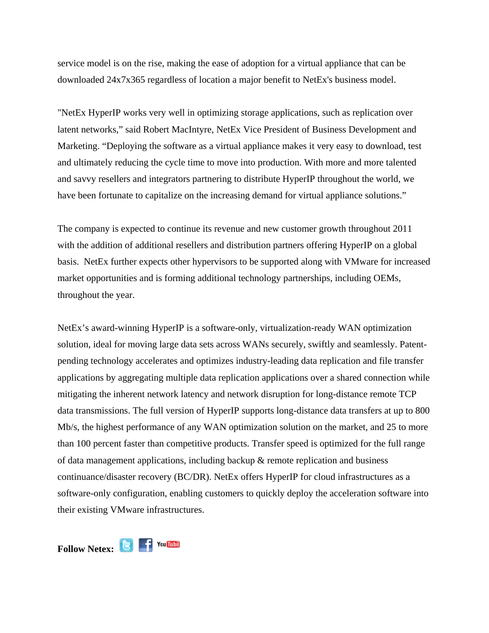service model is on the rise, making the ease of adoption for a virtual appliance that can be downloaded 24x7x365 regardless of location a major benefit to NetEx's business model.

"NetEx HyperIP works very well in optimizing storage applications, such as replication over latent networks," said Robert MacIntyre, NetEx Vice President of Business Development and Marketing. "Deploying the software as a virtual appliance makes it very easy to download, test and ultimately reducing the cycle time to move into production. With more and more talented and savvy resellers and integrators partnering to distribute HyperIP throughout the world, we have been fortunate to capitalize on the increasing demand for virtual appliance solutions."

The company is expected to continue its revenue and new customer growth throughout 2011 with the addition of additional resellers and distribution partners offering HyperIP on a global basis. NetEx further expects other hypervisors to be supported along with VMware for increased market opportunities and is forming additional technology partnerships, including OEMs, throughout the year.

NetEx's award-winning HyperIP is a software-only, virtualization-ready WAN optimization solution, ideal for moving large data sets across WANs securely, swiftly and seamlessly. Patentpending technology accelerates and optimizes industry-leading data replication and file transfer applications by aggregating multiple data replication applications over a shared connection while mitigating the inherent network latency and network disruption for long-distance remote TCP data transmissions. The full version of HyperIP supports long-distance data transfers at up to 800 Mb/s, the highest performance of any WAN optimization solution on the market, and 25 to more than 100 percent faster than competitive products. Transfer speed is optimized for the full range of data management applications, including backup  $\&$  remote replication and business continuance/disaster recovery (BC/DR). NetEx offers HyperIP for cloud infrastructures as a software-only configuration, enabling customers to quickly deploy the acceleration software into their existing VMware infrastructures.

Follow Netex: **B F** You **Tube**